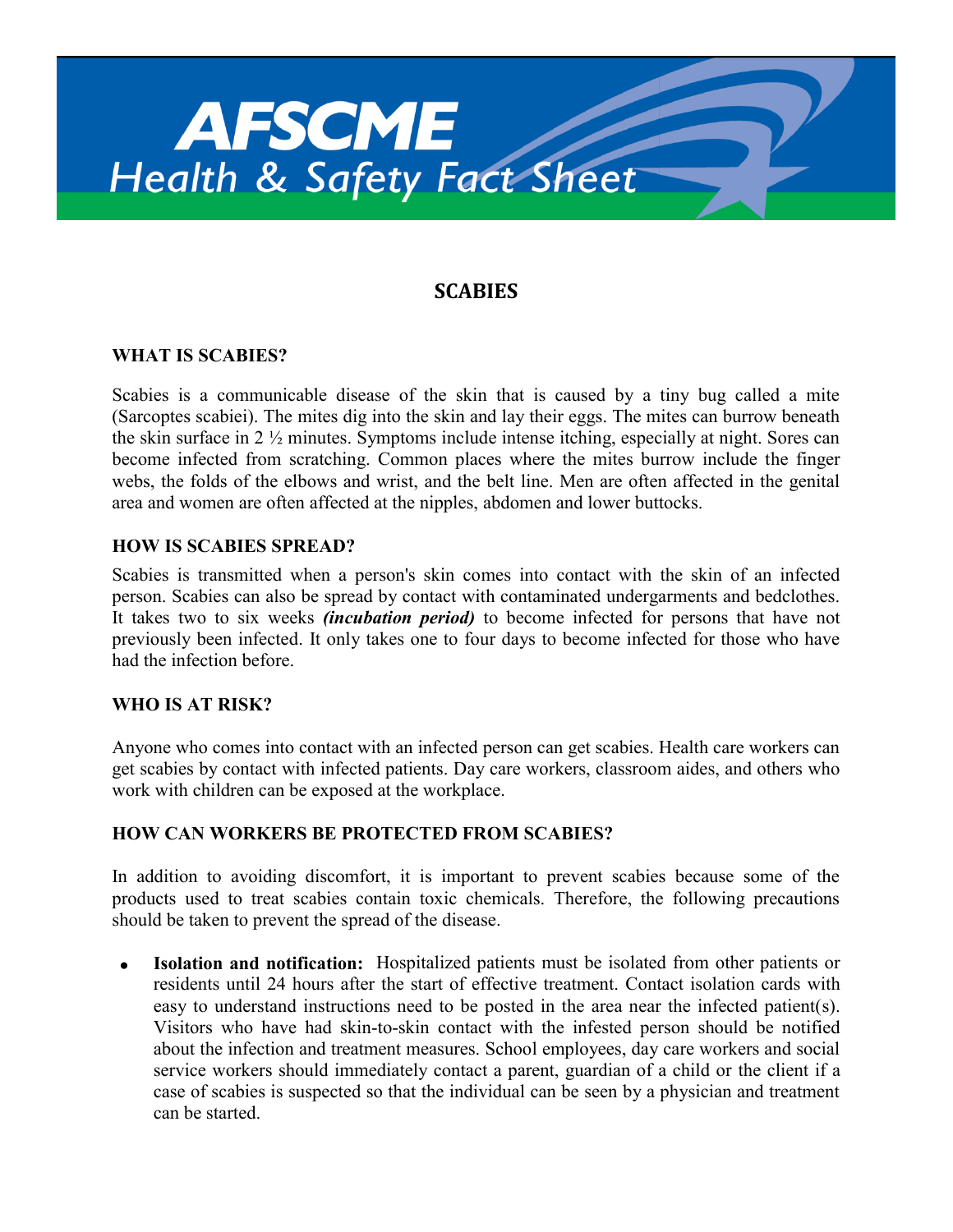

# **SCABIES**

## **WHAT IS SCABIES?**

Scabies is a communicable disease of the skin that is caused by a tiny bug called a mite (Sarcoptes scabiei). The mites dig into the skin and lay their eggs. The mites can burrow beneath the skin surface in 2 ½ minutes. Symptoms include intense itching, especially at night. Sores can become infected from scratching. Common places where the mites burrow include the finger webs, the folds of the elbows and wrist, and the belt line. Men are often affected in the genital area and women are often affected at the nipples, abdomen and lower buttocks.

### **HOW IS SCABIES SPREAD?**

Scabies is transmitted when a person's skin comes into contact with the skin of an infected person. Scabies can also be spread by contact with contaminated undergarments and bedclothes. It takes two to six weeks *(incubation period)* to become infected for persons that have not previously been infected. It only takes one to four days to become infected for those who have had the infection before.

### **WHO IS AT RISK?**

Anyone who comes into contact with an infected person can get scabies. Health care workers can get scabies by contact with infected patients. Day care workers, classroom aides, and others who work with children can be exposed at the workplace.

### **HOW CAN WORKERS BE PROTECTED FROM SCABIES?**

In addition to avoiding discomfort, it is important to prevent scabies because some of the products used to treat scabies contain toxic chemicals. Therefore, the following precautions should be taken to prevent the spread of the disease.

 **Isolation and notification:** Hospitalized patients must be isolated from other patients or residents until 24 hours after the start of effective treatment. Contact isolation cards with easy to understand instructions need to be posted in the area near the infected patient(s). Visitors who have had skin-to-skin contact with the infested person should be notified about the infection and treatment measures. School employees, day care workers and social service workers should immediately contact a parent, guardian of a child or the client if a case of scabies is suspected so that the individual can be seen by a physician and treatment can be started.